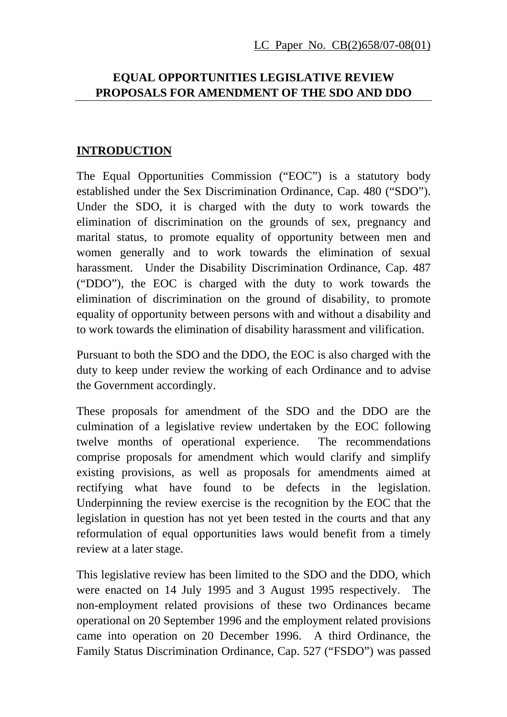### **EQUAL OPPORTUNITIES LEGISLATIVE REVIEW PROPOSALS FOR AMENDMENT OF THE SDO AND DDO**

#### **INTRODUCTION**

The Equal Opportunities Commission ("EOC") is a statutory body established under the Sex Discrimination Ordinance, Cap. 480 ("SDO"). Under the SDO, it is charged with the duty to work towards the elimination of discrimination on the grounds of sex, pregnancy and marital status, to promote equality of opportunity between men and women generally and to work towards the elimination of sexual harassment. Under the Disability Discrimination Ordinance, Cap. 487 ("DDO"), the EOC is charged with the duty to work towards the elimination of discrimination on the ground of disability, to promote equality of opportunity between persons with and without a disability and to work towards the elimination of disability harassment and vilification.

Pursuant to both the SDO and the DDO, the EOC is also charged with the duty to keep under review the working of each Ordinance and to advise the Government accordingly.

These proposals for amendment of the SDO and the DDO are the culmination of a legislative review undertaken by the EOC following twelve months of operational experience. The recommendations comprise proposals for amendment which would clarify and simplify existing provisions, as well as proposals for amendments aimed at rectifying what have found to be defects in the legislation. Underpinning the review exercise is the recognition by the EOC that the legislation in question has not yet been tested in the courts and that any reformulation of equal opportunities laws would benefit from a timely review at a later stage.

This legislative review has been limited to the SDO and the DDO, which were enacted on 14 July 1995 and 3 August 1995 respectively. The non-employment related provisions of these two Ordinances became operational on 20 September 1996 and the employment related provisions came into operation on 20 December 1996. A third Ordinance, the Family Status Discrimination Ordinance, Cap. 527 ("FSDO") was passed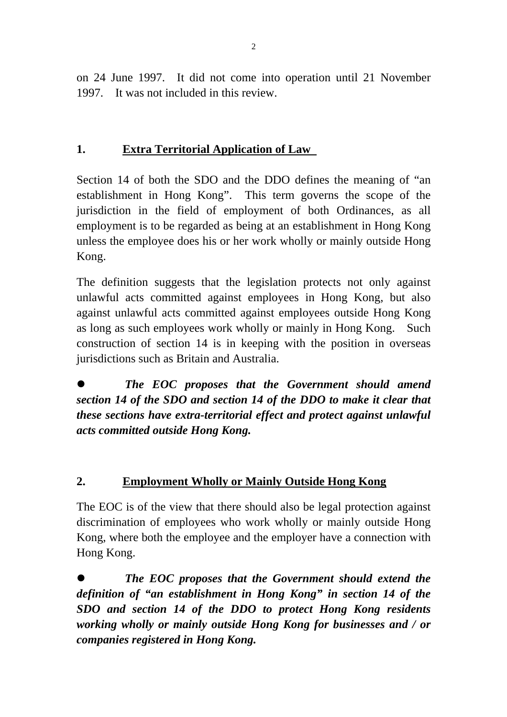on 24 June 1997. It did not come into operation until 21 November 1997. It was not included in this review.

## **1. Extra Territorial Application of Law**

Section 14 of both the SDO and the DDO defines the meaning of "an establishment in Hong Kong". This term governs the scope of the jurisdiction in the field of employment of both Ordinances, as all employment is to be regarded as being at an establishment in Hong Kong unless the employee does his or her work wholly or mainly outside Hong Kong.

The definition suggests that the legislation protects not only against unlawful acts committed against employees in Hong Kong, but also against unlawful acts committed against employees outside Hong Kong as long as such employees work wholly or mainly in Hong Kong. Such construction of section 14 is in keeping with the position in overseas jurisdictions such as Britain and Australia.

z *The EOC proposes that the Government should amend section 14 of the SDO and section 14 of the DDO to make it clear that these sections have extra-territorial effect and protect against unlawful acts committed outside Hong Kong.* 

## **2. Employment Wholly or Mainly Outside Hong Kong**

The EOC is of the view that there should also be legal protection against discrimination of employees who work wholly or mainly outside Hong Kong, where both the employee and the employer have a connection with Hong Kong.

z *The EOC proposes that the Government should extend the definition of "an establishment in Hong Kong" in section 14 of the SDO and section 14 of the DDO to protect Hong Kong residents working wholly or mainly outside Hong Kong for businesses and / or companies registered in Hong Kong.*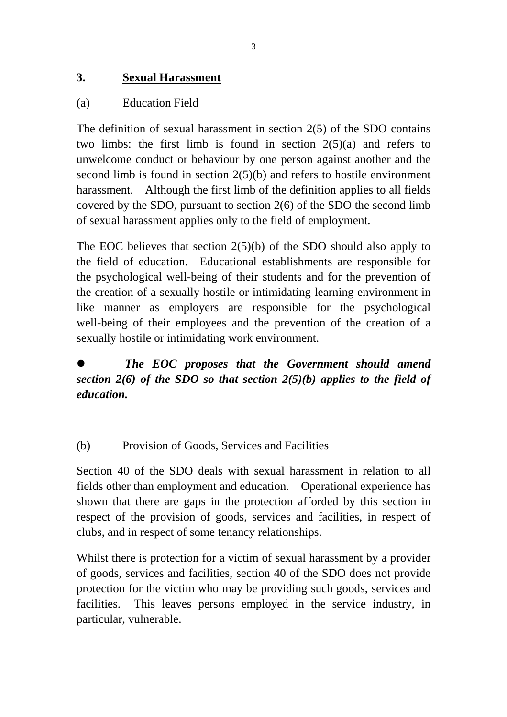## **3. Sexual Harassment**

## (a) Education Field

The definition of sexual harassment in section 2(5) of the SDO contains two limbs: the first limb is found in section 2(5)(a) and refers to unwelcome conduct or behaviour by one person against another and the second limb is found in section 2(5)(b) and refers to hostile environment harassment. Although the first limb of the definition applies to all fields covered by the SDO, pursuant to section 2(6) of the SDO the second limb of sexual harassment applies only to the field of employment.

The EOC believes that section  $2(5)(b)$  of the SDO should also apply to the field of education. Educational establishments are responsible for the psychological well-being of their students and for the prevention of the creation of a sexually hostile or intimidating learning environment in like manner as employers are responsible for the psychological well-being of their employees and the prevention of the creation of a sexually hostile or intimidating work environment.

z *The EOC proposes that the Government should amend section 2(6) of the SDO so that section 2(5)(b) applies to the field of education.* 

## (b) Provision of Goods, Services and Facilities

Section 40 of the SDO deals with sexual harassment in relation to all fields other than employment and education. Operational experience has shown that there are gaps in the protection afforded by this section in respect of the provision of goods, services and facilities, in respect of clubs, and in respect of some tenancy relationships.

Whilst there is protection for a victim of sexual harassment by a provider of goods, services and facilities, section 40 of the SDO does not provide protection for the victim who may be providing such goods, services and facilities. This leaves persons employed in the service industry, in particular, vulnerable.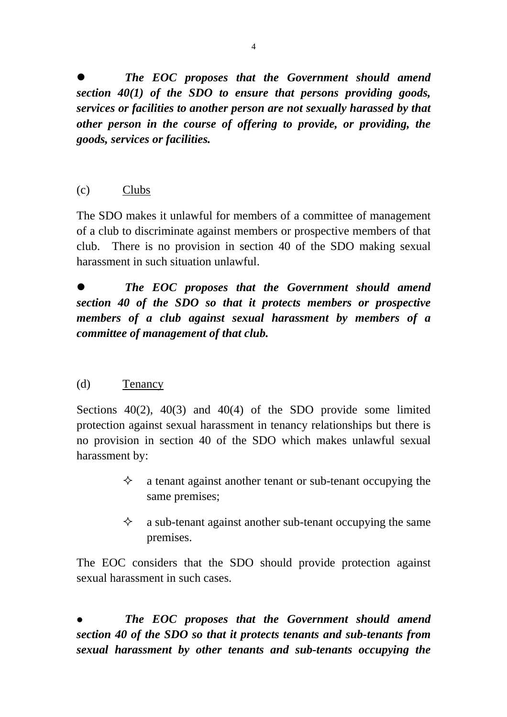z *The EOC proposes that the Government should amend section 40(1) of the SDO to ensure that persons providing goods, services or facilities to another person are not sexually harassed by that other person in the course of offering to provide, or providing, the goods, services or facilities.* 

(c) Clubs

The SDO makes it unlawful for members of a committee of management of a club to discriminate against members or prospective members of that club. There is no provision in section 40 of the SDO making sexual harassment in such situation unlawful.

z *The EOC proposes that the Government should amend section 40 of the SDO so that it protects members or prospective members of a club against sexual harassment by members of a committee of management of that club.* 

## (d) Tenancy

Sections  $40(2)$ ,  $40(3)$  and  $40(4)$  of the SDO provide some limited protection against sexual harassment in tenancy relationships but there is no provision in section 40 of the SDO which makes unlawful sexual harassment by:

- $\Diamond$  a tenant against another tenant or sub-tenant occupying the same premises;
- $\Diamond$  a sub-tenant against another sub-tenant occupying the same premises.

The EOC considers that the SDO should provide protection against sexual harassment in such cases.

z *The EOC proposes that the Government should amend section 40 of the SDO so that it protects tenants and sub-tenants from sexual harassment by other tenants and sub-tenants occupying the*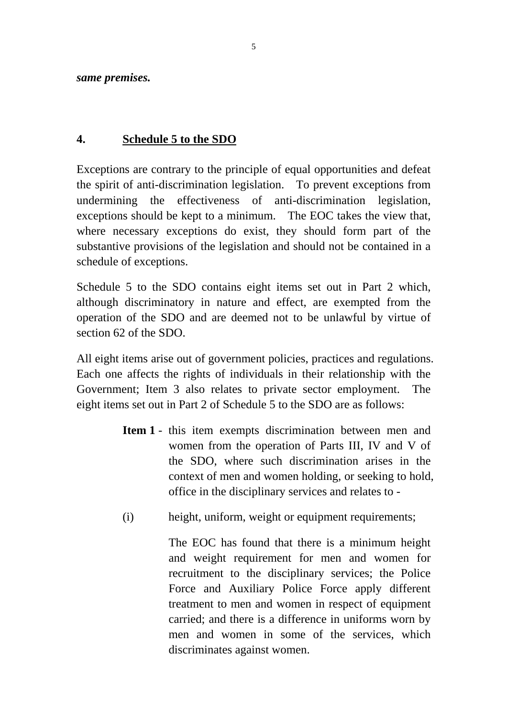*same premises.*

## **4. Schedule 5 to the SDO**

Exceptions are contrary to the principle of equal opportunities and defeat the spirit of anti-discrimination legislation. To prevent exceptions from undermining the effectiveness of anti-discrimination legislation, exceptions should be kept to a minimum. The EOC takes the view that, where necessary exceptions do exist, they should form part of the substantive provisions of the legislation and should not be contained in a schedule of exceptions.

Schedule 5 to the SDO contains eight items set out in Part 2 which, although discriminatory in nature and effect, are exempted from the operation of the SDO and are deemed not to be unlawful by virtue of section 62 of the SDO.

All eight items arise out of government policies, practices and regulations. Each one affects the rights of individuals in their relationship with the Government; Item 3 also relates to private sector employment. The eight items set out in Part 2 of Schedule 5 to the SDO are as follows:

- **Item 1** this item exempts discrimination between men and women from the operation of Parts III, IV and V of the SDO, where such discrimination arises in the context of men and women holding, or seeking to hold, office in the disciplinary services and relates to -
- (i) height, uniform, weight or equipment requirements;

 The EOC has found that there is a minimum height and weight requirement for men and women for recruitment to the disciplinary services; the Police Force and Auxiliary Police Force apply different treatment to men and women in respect of equipment carried; and there is a difference in uniforms worn by men and women in some of the services, which discriminates against women.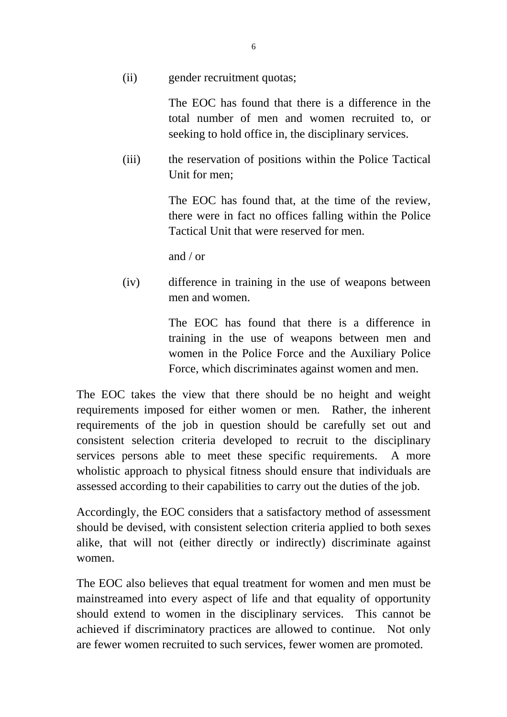(ii) gender recruitment quotas;

 The EOC has found that there is a difference in the total number of men and women recruited to, or seeking to hold office in, the disciplinary services.

 (iii) the reservation of positions within the Police Tactical Unit for men;

> The EOC has found that, at the time of the review, there were in fact no offices falling within the Police Tactical Unit that were reserved for men.

and / or

 (iv) difference in training in the use of weapons between men and women.

> The EOC has found that there is a difference in training in the use of weapons between men and women in the Police Force and the Auxiliary Police Force, which discriminates against women and men.

The EOC takes the view that there should be no height and weight requirements imposed for either women or men. Rather, the inherent requirements of the job in question should be carefully set out and consistent selection criteria developed to recruit to the disciplinary services persons able to meet these specific requirements. A more wholistic approach to physical fitness should ensure that individuals are assessed according to their capabilities to carry out the duties of the job.

Accordingly, the EOC considers that a satisfactory method of assessment should be devised, with consistent selection criteria applied to both sexes alike, that will not (either directly or indirectly) discriminate against women.

The EOC also believes that equal treatment for women and men must be mainstreamed into every aspect of life and that equality of opportunity should extend to women in the disciplinary services. This cannot be achieved if discriminatory practices are allowed to continue. Not only are fewer women recruited to such services, fewer women are promoted.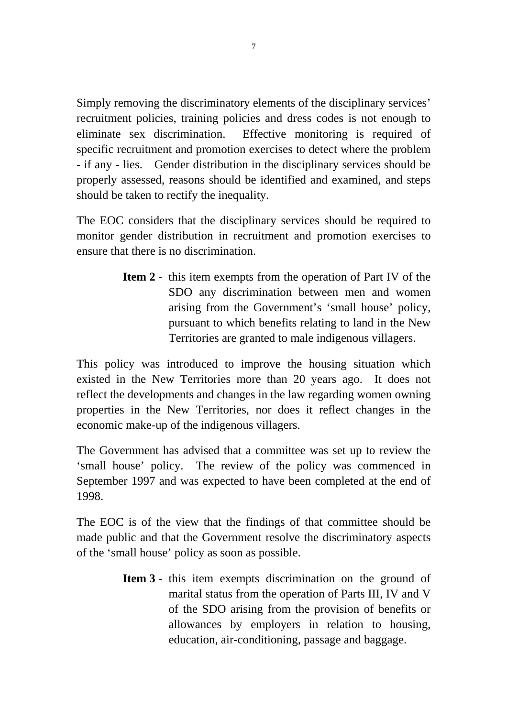Simply removing the discriminatory elements of the disciplinary services' recruitment policies, training policies and dress codes is not enough to eliminate sex discrimination. Effective monitoring is required of specific recruitment and promotion exercises to detect where the problem - if any - lies. Gender distribution in the disciplinary services should be properly assessed, reasons should be identified and examined, and steps should be taken to rectify the inequality.

The EOC considers that the disciplinary services should be required to monitor gender distribution in recruitment and promotion exercises to ensure that there is no discrimination.

> **Item 2** - this item exempts from the operation of Part IV of the SDO any discrimination between men and women arising from the Government's 'small house' policy, pursuant to which benefits relating to land in the New Territories are granted to male indigenous villagers.

This policy was introduced to improve the housing situation which existed in the New Territories more than 20 years ago. It does not reflect the developments and changes in the law regarding women owning properties in the New Territories, nor does it reflect changes in the economic make-up of the indigenous villagers.

The Government has advised that a committee was set up to review the 'small house' policy. The review of the policy was commenced in September 1997 and was expected to have been completed at the end of 1998.

The EOC is of the view that the findings of that committee should be made public and that the Government resolve the discriminatory aspects of the 'small house' policy as soon as possible.

> **Item 3** - this item exempts discrimination on the ground of marital status from the operation of Parts III, IV and V of the SDO arising from the provision of benefits or allowances by employers in relation to housing, education, air-conditioning, passage and baggage.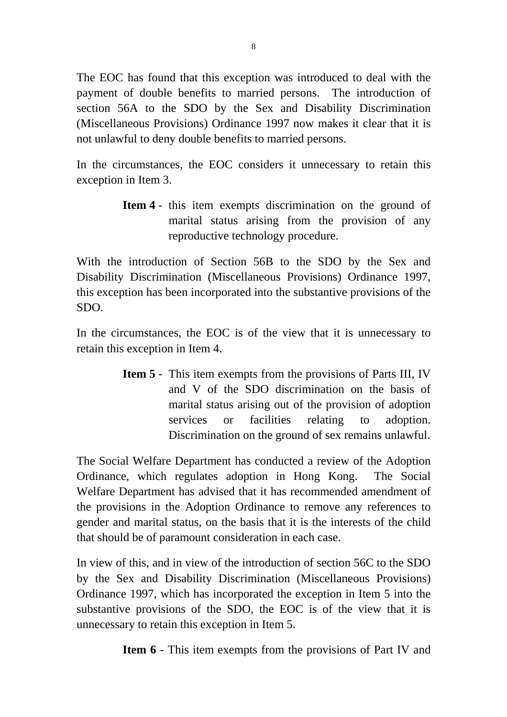The EOC has found that this exception was introduced to deal with the payment of double benefits to married persons. The introduction of section 56A to the SDO by the Sex and Disability Discrimination (Miscellaneous Provisions) Ordinance 1997 now makes it clear that it is not unlawful to deny double benefits to married persons.

In the circumstances, the EOC considers it unnecessary to retain this exception in Item 3.

> **Item 4** - this item exempts discrimination on the ground of marital status arising from the provision of any reproductive technology procedure.

With the introduction of Section 56B to the SDO by the Sex and Disability Discrimination (Miscellaneous Provisions) Ordinance 1997, this exception has been incorporated into the substantive provisions of the SDO.

In the circumstances, the EOC is of the view that it is unnecessary to retain this exception in Item 4.

> **Item 5** - This item exempts from the provisions of Parts III, IV and V of the SDO discrimination on the basis of marital status arising out of the provision of adoption services or facilities relating to adoption. Discrimination on the ground of sex remains unlawful.

The Social Welfare Department has conducted a review of the Adoption Ordinance, which regulates adoption in Hong Kong. The Social Welfare Department has advised that it has recommended amendment of the provisions in the Adoption Ordinance to remove any references to gender and marital status, on the basis that it is the interests of the child that should be of paramount consideration in each case.

In view of this, and in view of the introduction of section 56C to the SDO by the Sex and Disability Discrimination (Miscellaneous Provisions) Ordinance 1997, which has incorporated the exception in Item 5 into the substantive provisions of the SDO, the EOC is of the view that it is unnecessary to retain this exception in Item 5.

**Item 6** - This item exempts from the provisions of Part IV and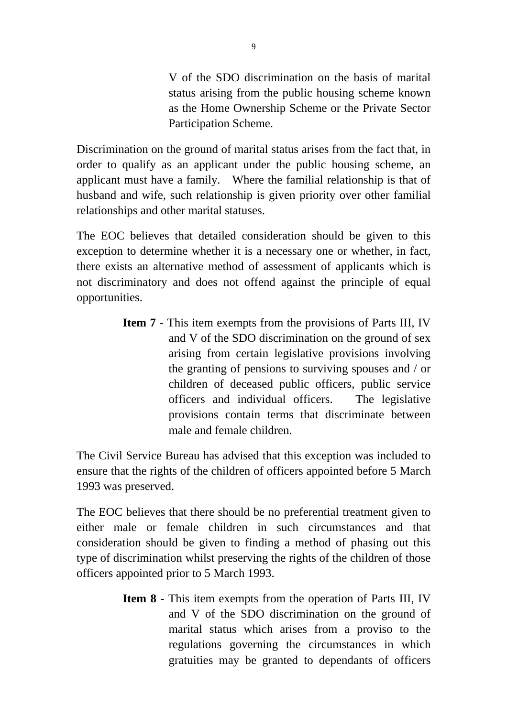V of the SDO discrimination on the basis of marital status arising from the public housing scheme known as the Home Ownership Scheme or the Private Sector Participation Scheme.

Discrimination on the ground of marital status arises from the fact that, in order to qualify as an applicant under the public housing scheme, an applicant must have a family. Where the familial relationship is that of husband and wife, such relationship is given priority over other familial relationships and other marital statuses.

The EOC believes that detailed consideration should be given to this exception to determine whether it is a necessary one or whether, in fact, there exists an alternative method of assessment of applicants which is not discriminatory and does not offend against the principle of equal opportunities.

> **Item 7** - This item exempts from the provisions of Parts III, IV and V of the SDO discrimination on the ground of sex arising from certain legislative provisions involving the granting of pensions to surviving spouses and / or children of deceased public officers, public service officers and individual officers. The legislative provisions contain terms that discriminate between male and female children.

The Civil Service Bureau has advised that this exception was included to ensure that the rights of the children of officers appointed before 5 March 1993 was preserved.

The EOC believes that there should be no preferential treatment given to either male or female children in such circumstances and that consideration should be given to finding a method of phasing out this type of discrimination whilst preserving the rights of the children of those officers appointed prior to 5 March 1993.

> **Item 8** - This item exempts from the operation of Parts III, IV and V of the SDO discrimination on the ground of marital status which arises from a proviso to the regulations governing the circumstances in which gratuities may be granted to dependants of officers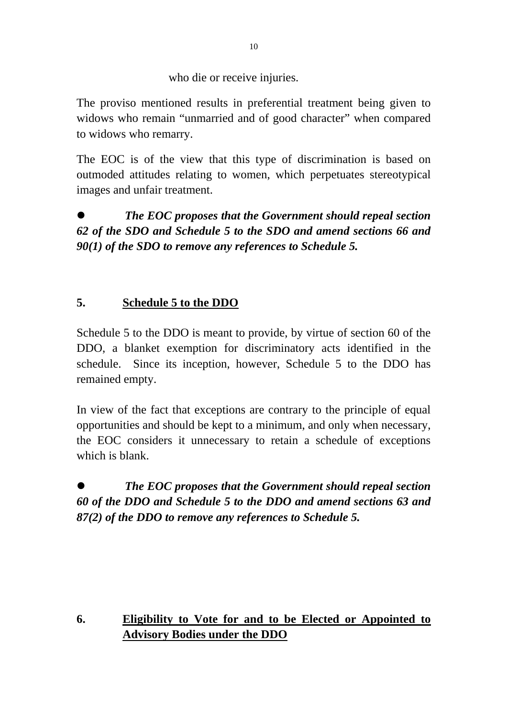who die or receive injuries.

The proviso mentioned results in preferential treatment being given to widows who remain "unmarried and of good character" when compared to widows who remarry.

The EOC is of the view that this type of discrimination is based on outmoded attitudes relating to women, which perpetuates stereotypical images and unfair treatment.

z *The EOC proposes that the Government should repeal section 62 of the SDO and Schedule 5 to the SDO and amend sections 66 and 90(1) of the SDO to remove any references to Schedule 5.* 

## **5. Schedule 5 to the DDO**

Schedule 5 to the DDO is meant to provide, by virtue of section 60 of the DDO, a blanket exemption for discriminatory acts identified in the schedule. Since its inception, however, Schedule 5 to the DDO has remained empty.

In view of the fact that exceptions are contrary to the principle of equal opportunities and should be kept to a minimum, and only when necessary, the EOC considers it unnecessary to retain a schedule of exceptions which is blank.

z *The EOC proposes that the Government should repeal section 60 of the DDO and Schedule 5 to the DDO and amend sections 63 and 87(2) of the DDO to remove any references to Schedule 5.* 

## **6. Eligibility to Vote for and to be Elected or Appointed to Advisory Bodies under the DDO**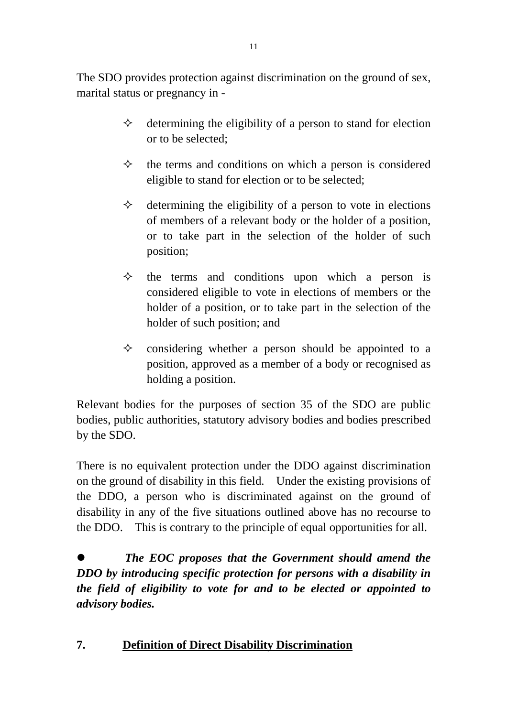The SDO provides protection against discrimination on the ground of sex, marital status or pregnancy in -

- $\Diamond$  determining the eligibility of a person to stand for election or to be selected;
- $\Diamond$  the terms and conditions on which a person is considered eligible to stand for election or to be selected;
- $\Diamond$  determining the eligibility of a person to vote in elections of members of a relevant body or the holder of a position, or to take part in the selection of the holder of such position;
- $\diamond$  the terms and conditions upon which a person is considered eligible to vote in elections of members or the holder of a position, or to take part in the selection of the holder of such position; and
- $\diamond$  considering whether a person should be appointed to a position, approved as a member of a body or recognised as holding a position.

Relevant bodies for the purposes of section 35 of the SDO are public bodies, public authorities, statutory advisory bodies and bodies prescribed by the SDO.

There is no equivalent protection under the DDO against discrimination on the ground of disability in this field. Under the existing provisions of the DDO, a person who is discriminated against on the ground of disability in any of the five situations outlined above has no recourse to the DDO. This is contrary to the principle of equal opportunities for all.

z *The EOC proposes that the Government should amend the DDO by introducing specific protection for persons with a disability in the field of eligibility to vote for and to be elected or appointed to advisory bodies.* 

## **7. Definition of Direct Disability Discrimination**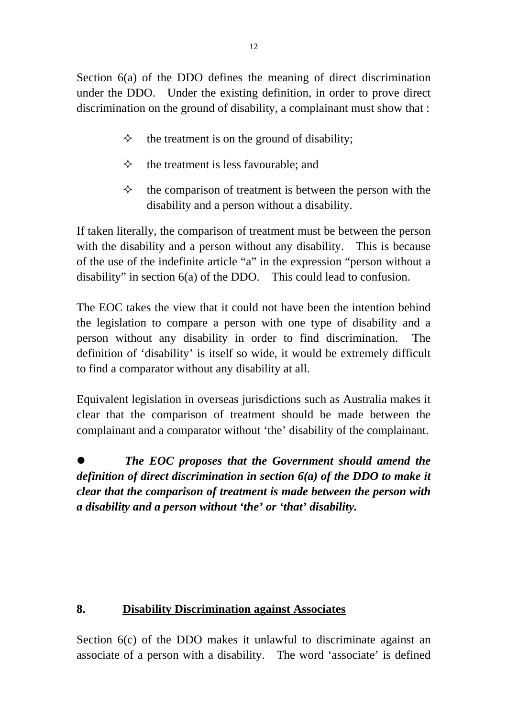Section 6(a) of the DDO defines the meaning of direct discrimination under the DDO. Under the existing definition, in order to prove direct discrimination on the ground of disability, a complainant must show that :

- $\Diamond$  the treatment is on the ground of disability;
- $\Diamond$  the treatment is less favourable; and
- $\Diamond$  the comparison of treatment is between the person with the disability and a person without a disability.

If taken literally, the comparison of treatment must be between the person with the disability and a person without any disability. This is because of the use of the indefinite article "a" in the expression "person without a disability" in section 6(a) of the DDO. This could lead to confusion.

The EOC takes the view that it could not have been the intention behind the legislation to compare a person with one type of disability and a person without any disability in order to find discrimination. The definition of 'disability' is itself so wide, it would be extremely difficult to find a comparator without any disability at all.

Equivalent legislation in overseas jurisdictions such as Australia makes it clear that the comparison of treatment should be made between the complainant and a comparator without 'the' disability of the complainant.

z *The EOC proposes that the Government should amend the definition of direct discrimination in section 6(a) of the DDO to make it clear that the comparison of treatment is made between the person with a disability and a person without 'the' or 'that' disability.* 

## **8. Disability Discrimination against Associates**

Section  $6(c)$  of the DDO makes it unlawful to discriminate against an associate of a person with a disability. The word 'associate' is defined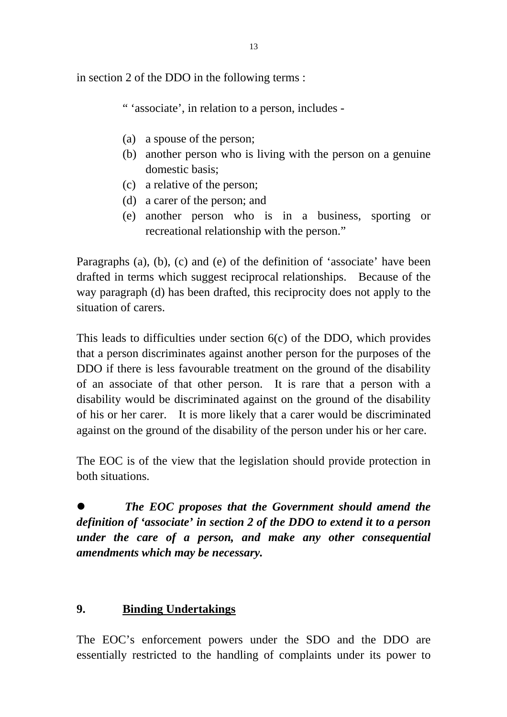in section 2 of the DDO in the following terms :

" 'associate', in relation to a person, includes -

- (a) a spouse of the person;
- (b) another person who is living with the person on a genuine domestic basis;
- (c) a relative of the person;
- (d) a carer of the person; and
- (e) another person who is in a business, sporting or recreational relationship with the person."

Paragraphs (a), (b), (c) and (e) of the definition of 'associate' have been drafted in terms which suggest reciprocal relationships. Because of the way paragraph (d) has been drafted, this reciprocity does not apply to the situation of carers.

This leads to difficulties under section 6(c) of the DDO, which provides that a person discriminates against another person for the purposes of the DDO if there is less favourable treatment on the ground of the disability of an associate of that other person. It is rare that a person with a disability would be discriminated against on the ground of the disability of his or her carer. It is more likely that a carer would be discriminated against on the ground of the disability of the person under his or her care.

The EOC is of the view that the legislation should provide protection in both situations.

z *The EOC proposes that the Government should amend the definition of 'associate' in section 2 of the DDO to extend it to a person under the care of a person, and make any other consequential amendments which may be necessary.* 

## **9. Binding Undertakings**

The EOC's enforcement powers under the SDO and the DDO are essentially restricted to the handling of complaints under its power to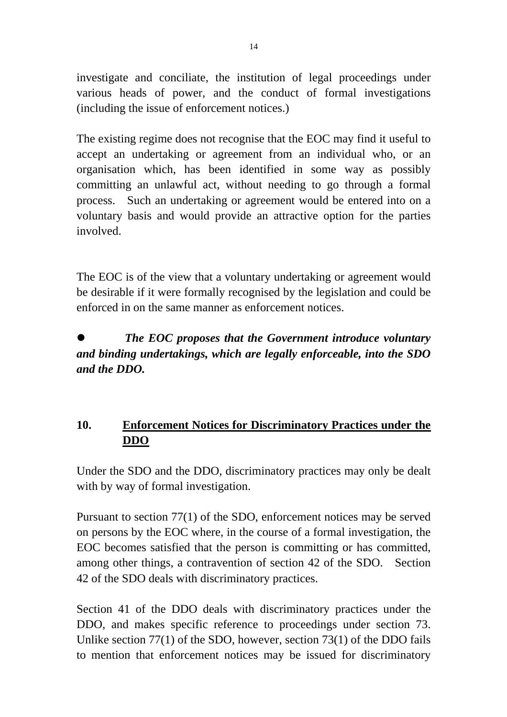investigate and conciliate, the institution of legal proceedings under various heads of power, and the conduct of formal investigations (including the issue of enforcement notices.)

The existing regime does not recognise that the EOC may find it useful to accept an undertaking or agreement from an individual who, or an organisation which, has been identified in some way as possibly committing an unlawful act, without needing to go through a formal process. Such an undertaking or agreement would be entered into on a voluntary basis and would provide an attractive option for the parties involved.

The EOC is of the view that a voluntary undertaking or agreement would be desirable if it were formally recognised by the legislation and could be enforced in on the same manner as enforcement notices.

## z *The EOC proposes that the Government introduce voluntary and binding undertakings, which are legally enforceable, into the SDO and the DDO.*

## **10. Enforcement Notices for Discriminatory Practices under the DDO**

Under the SDO and the DDO, discriminatory practices may only be dealt with by way of formal investigation.

Pursuant to section 77(1) of the SDO, enforcement notices may be served on persons by the EOC where, in the course of a formal investigation, the EOC becomes satisfied that the person is committing or has committed, among other things, a contravention of section 42 of the SDO. Section 42 of the SDO deals with discriminatory practices.

Section 41 of the DDO deals with discriminatory practices under the DDO, and makes specific reference to proceedings under section 73. Unlike section 77(1) of the SDO, however, section 73(1) of the DDO fails to mention that enforcement notices may be issued for discriminatory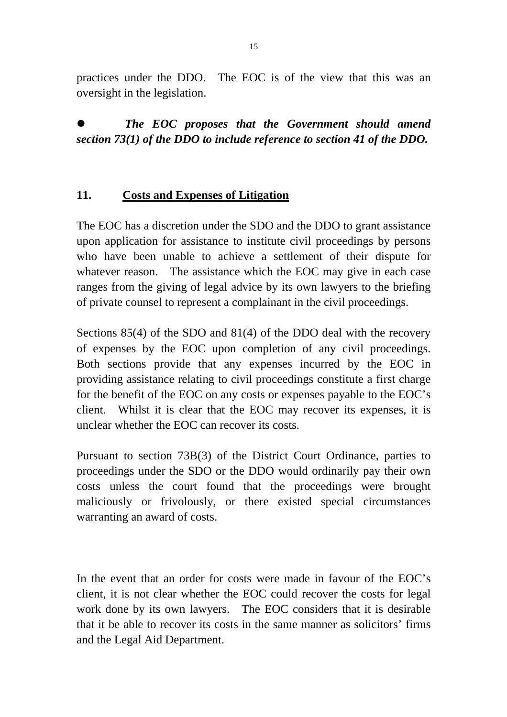practices under the DDO. The EOC is of the view that this was an oversight in the legislation.

z *The EOC proposes that the Government should amend section 73(1) of the DDO to include reference to section 41 of the DDO.* 

#### **11. Costs and Expenses of Litigation**

The EOC has a discretion under the SDO and the DDO to grant assistance upon application for assistance to institute civil proceedings by persons who have been unable to achieve a settlement of their dispute for whatever reason. The assistance which the EOC may give in each case ranges from the giving of legal advice by its own lawyers to the briefing of private counsel to represent a complainant in the civil proceedings.

Sections 85(4) of the SDO and 81(4) of the DDO deal with the recovery of expenses by the EOC upon completion of any civil proceedings. Both sections provide that any expenses incurred by the EOC in providing assistance relating to civil proceedings constitute a first charge for the benefit of the EOC on any costs or expenses payable to the EOC's client. Whilst it is clear that the EOC may recover its expenses, it is unclear whether the EOC can recover its costs.

Pursuant to section 73B(3) of the District Court Ordinance, parties to proceedings under the SDO or the DDO would ordinarily pay their own costs unless the court found that the proceedings were brought maliciously or frivolously, or there existed special circumstances warranting an award of costs.

In the event that an order for costs were made in favour of the EOC's client, it is not clear whether the EOC could recover the costs for legal work done by its own lawyers. The EOC considers that it is desirable that it be able to recover its costs in the same manner as solicitors' firms and the Legal Aid Department.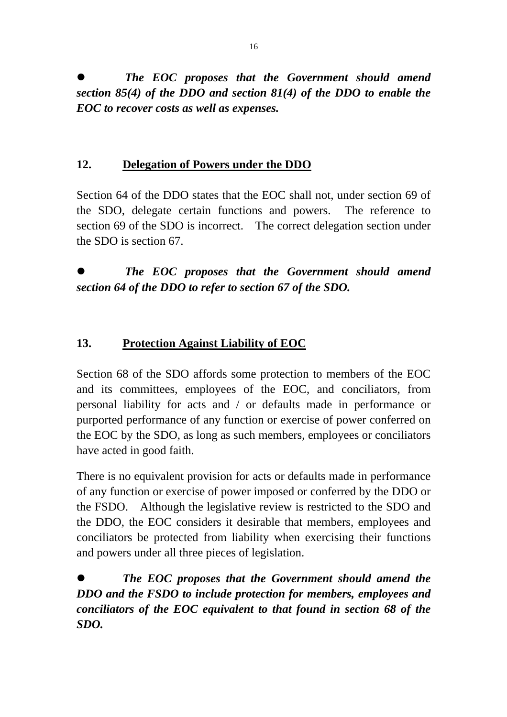z *The EOC proposes that the Government should amend section 85(4) of the DDO and section 81(4) of the DDO to enable the EOC to recover costs as well as expenses.* 

### **12. Delegation of Powers under the DDO**

Section 64 of the DDO states that the EOC shall not, under section 69 of the SDO, delegate certain functions and powers. The reference to section 69 of the SDO is incorrect. The correct delegation section under the SDO is section 67.

z *The EOC proposes that the Government should amend section 64 of the DDO to refer to section 67 of the SDO.* 

## **13. Protection Against Liability of EOC**

Section 68 of the SDO affords some protection to members of the EOC and its committees, employees of the EOC, and conciliators, from personal liability for acts and / or defaults made in performance or purported performance of any function or exercise of power conferred on the EOC by the SDO, as long as such members, employees or conciliators have acted in good faith.

There is no equivalent provision for acts or defaults made in performance of any function or exercise of power imposed or conferred by the DDO or the FSDO. Although the legislative review is restricted to the SDO and the DDO, the EOC considers it desirable that members, employees and conciliators be protected from liability when exercising their functions and powers under all three pieces of legislation.

z *The EOC proposes that the Government should amend the DDO and the FSDO to include protection for members, employees and conciliators of the EOC equivalent to that found in section 68 of the SDO.*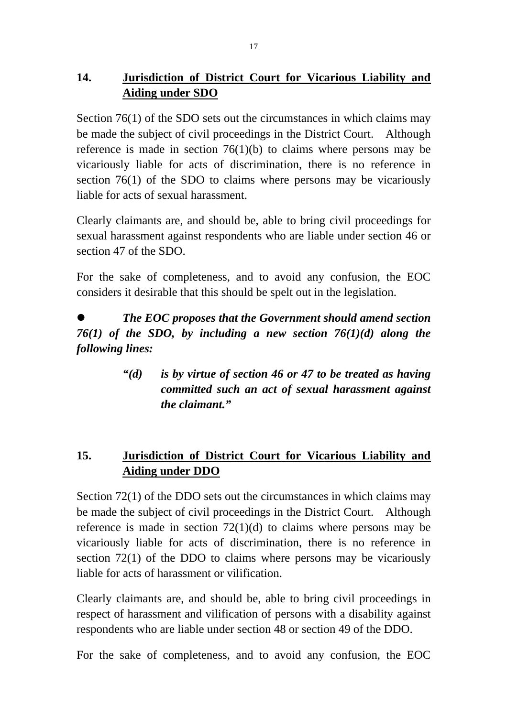## **14. Jurisdiction of District Court for Vicarious Liability and Aiding under SDO**

Section 76(1) of the SDO sets out the circumstances in which claims may be made the subject of civil proceedings in the District Court. Although reference is made in section  $76(1)(b)$  to claims where persons may be vicariously liable for acts of discrimination, there is no reference in section 76(1) of the SDO to claims where persons may be vicariously liable for acts of sexual harassment.

Clearly claimants are, and should be, able to bring civil proceedings for sexual harassment against respondents who are liable under section 46 or section 47 of the SDO.

For the sake of completeness, and to avoid any confusion, the EOC considers it desirable that this should be spelt out in the legislation.

z *The EOC proposes that the Government should amend section 76(1) of the SDO, by including a new section 76(1)(d) along the following lines:* 

> *"(d) is by virtue of section 46 or 47 to be treated as having committed such an act of sexual harassment against the claimant."*

## **15. Jurisdiction of District Court for Vicarious Liability and Aiding under DDO**

Section 72(1) of the DDO sets out the circumstances in which claims may be made the subject of civil proceedings in the District Court. Although reference is made in section 72(1)(d) to claims where persons may be vicariously liable for acts of discrimination, there is no reference in section 72(1) of the DDO to claims where persons may be vicariously liable for acts of harassment or vilification.

Clearly claimants are, and should be, able to bring civil proceedings in respect of harassment and vilification of persons with a disability against respondents who are liable under section 48 or section 49 of the DDO.

For the sake of completeness, and to avoid any confusion, the EOC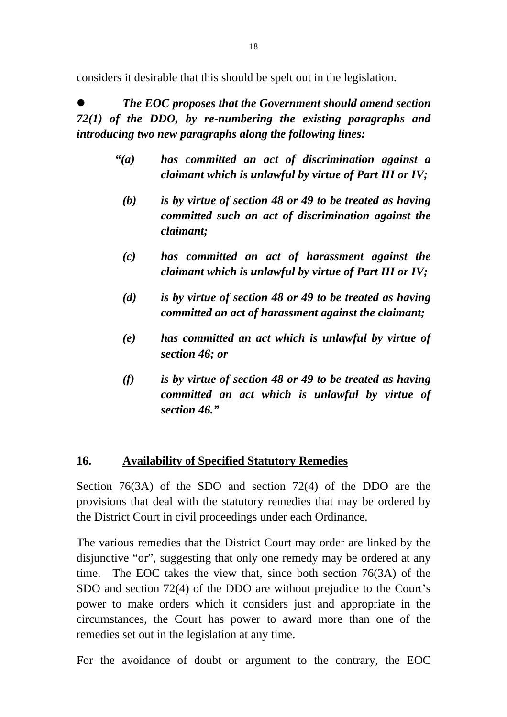considers it desirable that this should be spelt out in the legislation.

z *The EOC proposes that the Government should amend section 72(1) of the DDO, by re-numbering the existing paragraphs and introducing two new paragraphs along the following lines:* 

- *"(a) has committed an act of discrimination against a claimant which is unlawful by virtue of Part III or IV;* 
	- *(b) is by virtue of section 48 or 49 to be treated as having committed such an act of discrimination against the claimant;*
	- *(c) has committed an act of harassment against the claimant which is unlawful by virtue of Part III or IV;*
	- *(d) is by virtue of section 48 or 49 to be treated as having committed an act of harassment against the claimant;*
	- *(e) has committed an act which is unlawful by virtue of section 46; or*
	- *(f) is by virtue of section 48 or 49 to be treated as having committed an act which is unlawful by virtue of section 46."*

## **16. Availability of Specified Statutory Remedies**

Section 76(3A) of the SDO and section 72(4) of the DDO are the provisions that deal with the statutory remedies that may be ordered by the District Court in civil proceedings under each Ordinance.

The various remedies that the District Court may order are linked by the disjunctive "or", suggesting that only one remedy may be ordered at any time. The EOC takes the view that, since both section 76(3A) of the SDO and section 72(4) of the DDO are without prejudice to the Court's power to make orders which it considers just and appropriate in the circumstances, the Court has power to award more than one of the remedies set out in the legislation at any time.

For the avoidance of doubt or argument to the contrary, the EOC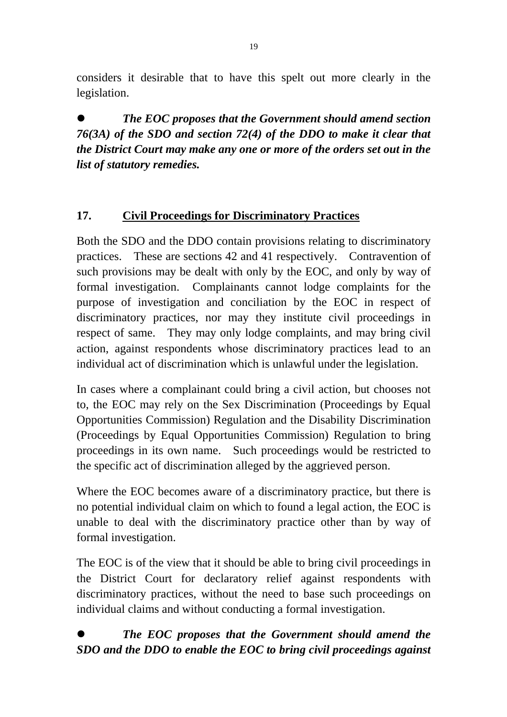considers it desirable that to have this spelt out more clearly in the legislation.

z *The EOC proposes that the Government should amend section 76(3A) of the SDO and section 72(4) of the DDO to make it clear that the District Court may make any one or more of the orders set out in the list of statutory remedies.*

## **17. Civil Proceedings for Discriminatory Practices**

Both the SDO and the DDO contain provisions relating to discriminatory practices. These are sections 42 and 41 respectively. Contravention of such provisions may be dealt with only by the EOC, and only by way of formal investigation. Complainants cannot lodge complaints for the purpose of investigation and conciliation by the EOC in respect of discriminatory practices, nor may they institute civil proceedings in respect of same. They may only lodge complaints, and may bring civil action, against respondents whose discriminatory practices lead to an individual act of discrimination which is unlawful under the legislation.

In cases where a complainant could bring a civil action, but chooses not to, the EOC may rely on the Sex Discrimination (Proceedings by Equal Opportunities Commission) Regulation and the Disability Discrimination (Proceedings by Equal Opportunities Commission) Regulation to bring proceedings in its own name. Such proceedings would be restricted to the specific act of discrimination alleged by the aggrieved person.

Where the EOC becomes aware of a discriminatory practice, but there is no potential individual claim on which to found a legal action, the EOC is unable to deal with the discriminatory practice other than by way of formal investigation.

The EOC is of the view that it should be able to bring civil proceedings in the District Court for declaratory relief against respondents with discriminatory practices, without the need to base such proceedings on individual claims and without conducting a formal investigation.

## z *The EOC proposes that the Government should amend the SDO and the DDO to enable the EOC to bring civil proceedings against*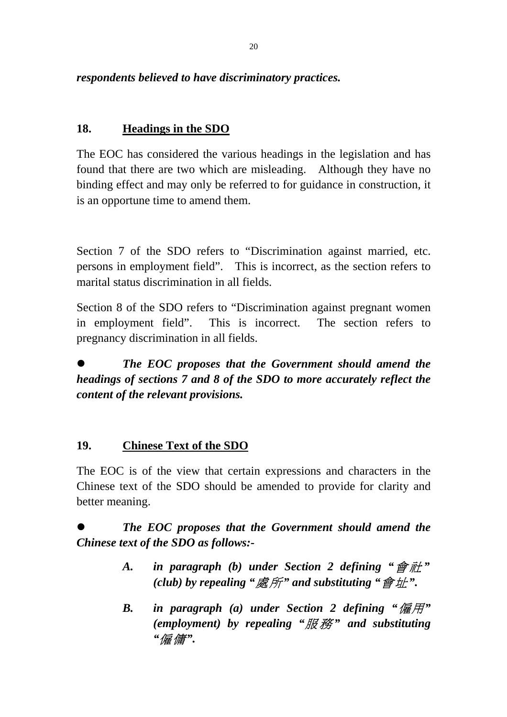## *respondents believed to have discriminatory practices.*

### **18. Headings in the SDO**

The EOC has considered the various headings in the legislation and has found that there are two which are misleading. Although they have no binding effect and may only be referred to for guidance in construction, it is an opportune time to amend them.

Section 7 of the SDO refers to "Discrimination against married, etc. persons in employment field". This is incorrect, as the section refers to marital status discrimination in all fields.

Section 8 of the SDO refers to "Discrimination against pregnant women in employment field". This is incorrect. The section refers to pregnancy discrimination in all fields.

## z *The EOC proposes that the Government should amend the headings of sections 7 and 8 of the SDO to more accurately reflect the content of the relevant provisions.*

#### **19. Chinese Text of the SDO**

The EOC is of the view that certain expressions and characters in the Chinese text of the SDO should be amended to provide for clarity and better meaning.

z *The EOC proposes that the Government should amend the Chinese text of the SDO as follows:-* 

- *A. in paragraph (b) under Section 2 defining "*會 社 *" (club) by repealing "*處所*" and substituting "*會址*".*
- *B. in paragraph (a) under Section 2 defining "*僱用*" (employment) by repealing "*服 務 *" and substituting "*僱傭*".*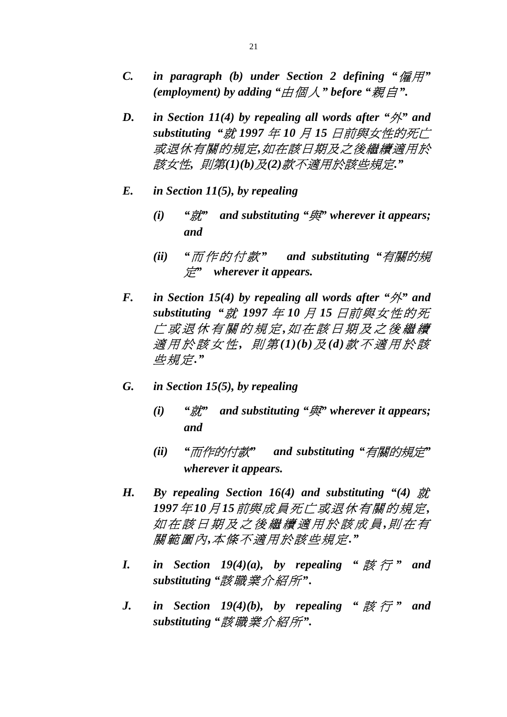- *C. in paragraph (b) under Section 2 defining "*僱用*" (employment) by adding "*由個人*" before "*親自*".*
- *D. in Section 11(4) by repealing all words after "*外*" and substituting "*就 *1997* 年 *10* 月 *15* 日前與女性的死亡 或退休有關的規定*,*如在該日期及之後繼續適用於 該女性*,* 則第*(1)(b)*及*(2)*款不適用於該些規定*."*
- *E. in Section 11(5), by repealing* 
	- *(i) "*就*" and substituting "*與*" wherever it appears; and*
	- *(ii) "*而作的付款 *" and substituting "*有關的規 定*" wherever it appears.*
- *F. in Section 15(4) by repealing all words after "*外*" and substituting "*就 *1997* 年 *10* 月 *15* 日前與女性的死 亡或退休有關的規定 *,*如在該日期及之後繼續 適用於該 女 性 *,* 則 第 *(1)(b)*及 *(d)*款 不 適用於該 些規定*."*
- *G. in Section 15(5), by repealing* 
	- *(i) "*就*" and substituting "*與*" wherever it appears; and*
	- *(ii) "*而作的付款*" and substituting "*有關的規定*" wherever it appears.*
- H. By repealing Section 16(4) and substituting "(4) 就 *1997*年 *10*月 *15*前與成員死亡或退休有關的規定*,*  如在該日期及之後繼續適用於該成員 *,*則在有 關範圍內*,*本條不適用於該些規定*."*
- *I.* in Section 19(4)(a), by repealing " $\sharp \sharp \overline{\mathcal{F}}$ " and *substituting "*該職業介紹所*".*
- *J.* in Section 19(4)(b), by repealing " $\sharp \sharp \overline{\mathcal{F}}$ " and *substituting "*該職業介紹所*".*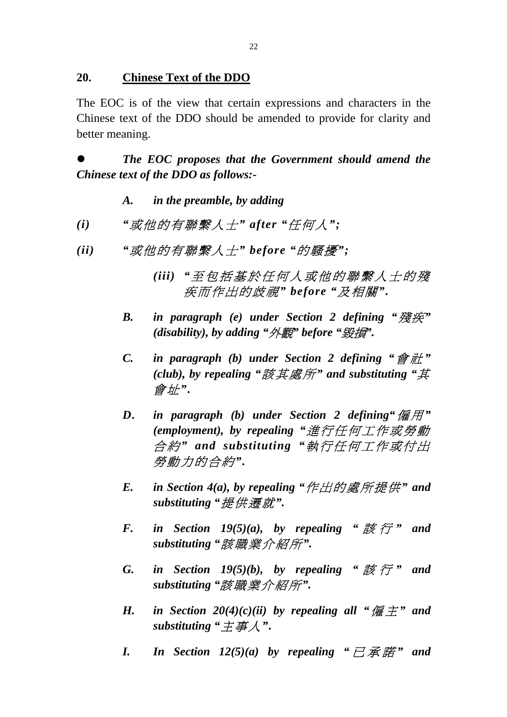#### **20. Chinese Text of the DDO**

The EOC is of the view that certain expressions and characters in the Chinese text of the DDO should be amended to provide for clarity and better meaning.

z *The EOC proposes that the Government should amend the Chinese text of the DDO as follows:-* 

- *A. in the preamble, by adding*
- *(i) "*或他的有聯繫人士*" after "*任何人*";*
- *(ii) "*或他的有聯繫人士*" before "*的騷擾*";* 
	- *(iii) "*至包括基於任何人或他的 聯 繫人士的殘 疾而作出的歧視*" before "*及相關*".*
	- *B. in paragraph (e) under Section 2 defining "*殘疾*" (disability), by adding "*外觀*" before "*毀損*".*
	- *C. in paragraph (b) under Section 2 defining "*會 社 *" (club), by repealing "*該其處所*" and substituting "*其 會址*".*
	- *D. in paragraph (b) under Section 2 defining"*僱 用*" (employment), by repealing "*進行任何工作或勞動 合 約 *" and substituting "*執 行 任何工作或付出 勞動力的合約*".*
	- *E. in Section 4(a), by repealing "*作出的處所提供*" and substituting "*提供遷就*".*
	- *F. in Section 19(5)(a), by repealing* "  $\nexists \overrightarrow{z}$   $\overrightarrow{r}$  " and *substituting "*該職業介紹所*".*
	- *G. in Section 19(5)(b), by repealing "*  $\nexists \tilde{z}$   $\tilde{\tau}$  " *and substituting "*該職業介紹所*".*
	- *H. in Section 20(4)(c)(ii) by repealing all* " $\overline{E}$   $\overline{F}$ " *and substituting "*主事人*".*
	- *I.* In Section  $12(5)(a)$  by repealing "  $\exists \mathcal{F} \mathcal{F} \mathcal{F}$ " and